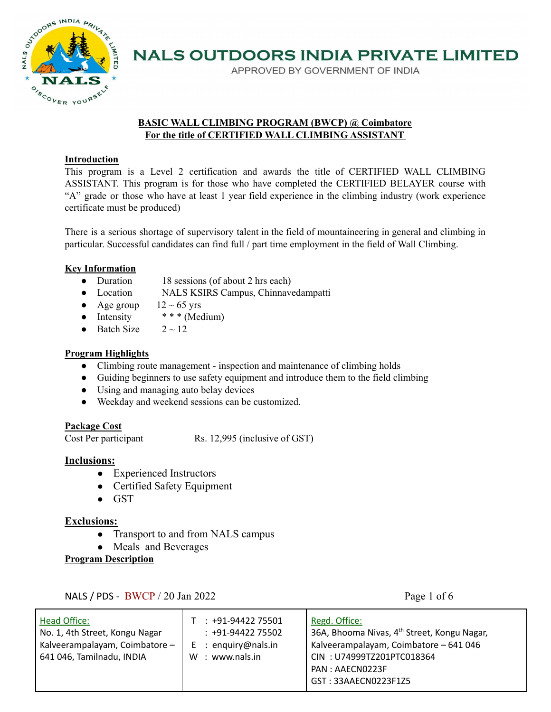

APPROVED BY GOVERNMENT OF INDIA

### **BASIC WALL CLIMBING PROGRAM (BWCP) @ Coimbatore For the title of CERTIFIED WALL CLIMBING ASSISTANT**

### **Introduction**

This program is a Level 2 certification and awards the title of CERTIFIED WALL CLIMBING ASSISTANT. This program is for those who have completed the CERTIFIED BELAYER course with "A" grade or those who have at least 1 year field experience in the climbing industry (work experience certificate must be produced)

There is a serious shortage of supervisory talent in the field of mountaineering in general and climbing in particular. Successful candidates can find full / part time employment in the field of Wall Climbing.

## **Key Information**

- Duration 18 sessions (of about 2 hrs each)
- Location NALS KSIRS Campus, Chinnavedampatti
- Age group  $12 \sim 65$  yrs
- Intensity  $*** (Medium)$
- Batch Size  $2 \sim 12$

## **Program Highlights**

- Climbing route management inspection and maintenance of climbing holds
- Guiding beginners to use safety equipment and introduce them to the field climbing
- Using and managing auto belay devices
- Weekday and weekend sessions can be customized.

## **Package Cost**

Cost Per participant Rs. 12,995 (inclusive of GST)

#### **Inclusions:**

- Experienced Instructors
- Certified Safety Equipment
- GST

## **Exclusions:**

- Transport to and from NALS campus
- Meals and Beverages

**Program Description**

NALS / PDS - BWCP / 20 Jan 2022 Page 1 of 6

| Head Office:<br>No. 1, 4th Street, Kongu Nagar<br>Kalveerampalayam, Coimbatore -<br>641 046, Tamilnadu, INDIA | $: +91-9442275501$<br>$: +91-9442275502$<br>$E$ : enguiry@nals.in<br>$W:$ www.nals.in | Regd. Office:<br>36A, Bhooma Nivas, 4 <sup>th</sup> Street, Kongu Nagar,<br>Kalveerampalayam, Coimbatore - 641 046<br>CIN: U74999TZ201PTC018364<br>PAN: AAECN0223F<br>GST: 33AAECN0223F1Z5 |
|---------------------------------------------------------------------------------------------------------------|---------------------------------------------------------------------------------------|--------------------------------------------------------------------------------------------------------------------------------------------------------------------------------------------|
|---------------------------------------------------------------------------------------------------------------|---------------------------------------------------------------------------------------|--------------------------------------------------------------------------------------------------------------------------------------------------------------------------------------------|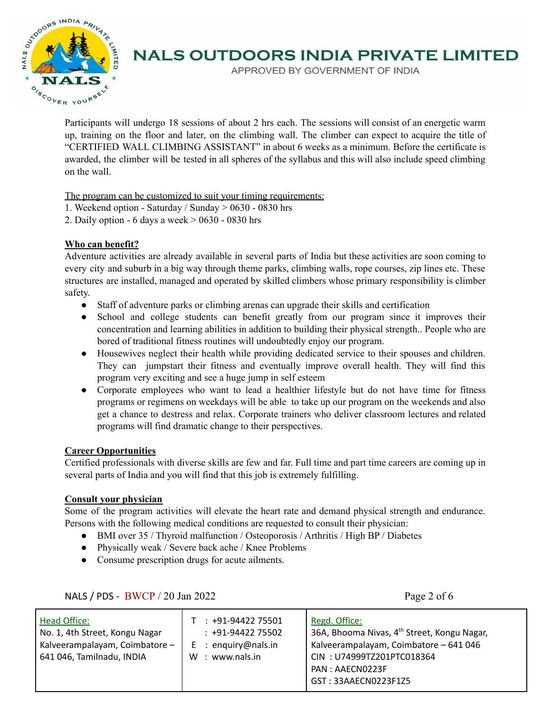

APPROVED BY GOVERNMENT OF INDIA

Participants will undergo 18 sessions of about 2 hrs each. The sessions will consist of an energetic warm up, training on the floor and later, on the climbing wall. The climber can expect to acquire the title of "CERTIFIED WALL CLIMBING ASSISTANT" in about 6 weeks as a minimum. Before the certificate is awarded, the climber will be tested in all spheres of the syllabus and this will also include speed climbing on the wall.

The program can be customized to suit your timing requirements:

- 1. Weekend option Saturday / Sunday > 0630 0830 hrs
- 2. Daily option 6 days a week > 0630 0830 hrs

## **Who can benefit?**

Adventure activities are already available in several parts of India but these activities are soon coming to every city and suburb in a big way through theme parks, climbing walls, rope courses, zip lines etc. These structures are installed, managed and operated by skilled climbers whose primary responsibility is climber safety.

- Staff of adventure parks or climbing arenas can upgrade their skills and certification
- School and college students can benefit greatly from our program since it improves their concentration and learning abilities in addition to building their physical strength.. People who are bored of traditional fitness routines will undoubtedly enjoy our program.
- Housewives neglect their health while providing dedicated service to their spouses and children. They can jumpstart their fitness and eventually improve overall health. They will find this program very exciting and see a huge jump in self esteem
- Corporate employees who want to lead a healthier lifestyle but do not have time for fitness programs or regimens on weekdays will be able to take up our program on the weekends and also get a chance to destress and relax. Corporate trainers who deliver classroom lectures and related programs will find dramatic change to their perspectives.

## **Career Opportunities**

Certified professionals with diverse skills are few and far. Full time and part time careers are coming up in several parts of India and you will find that this job is extremely fulfilling.

## **Consult your physician**

Some of the program activities will elevate the heart rate and demand physical strength and endurance. Persons with the following medical conditions are requested to consult their physician:

- BMI over 35 / Thyroid malfunction / Osteoporosis / Arthritis / High BP / Diabetes
- Physically weak / Severe back ache / Knee Problems
- Consume prescription drugs for acute ailments.

NALS  $/$  PDS - BWCP  $/$  20 Jan 2022 Page 2 of 6

| Head Office:<br>No. 1, 4th Street, Kongu Nagar<br>Kalveerampalayam, Coimbatore -<br>641 046, Tamilnadu, INDIA | $: +91-9442275501$<br>$: +91-9442275502$<br>$E$ : enguiry@nals.in<br>W : www.nals.in | Regd. Office:<br>36A, Bhooma Nivas, 4 <sup>th</sup> Street, Kongu Nagar,<br>Kalveerampalayam, Coimbatore - 641 046<br>CIN: U74999TZ201PTC018364<br>PAN: AAECN0223F<br>GST: 33AAECN0223F1Z5 |
|---------------------------------------------------------------------------------------------------------------|--------------------------------------------------------------------------------------|--------------------------------------------------------------------------------------------------------------------------------------------------------------------------------------------|
|---------------------------------------------------------------------------------------------------------------|--------------------------------------------------------------------------------------|--------------------------------------------------------------------------------------------------------------------------------------------------------------------------------------------|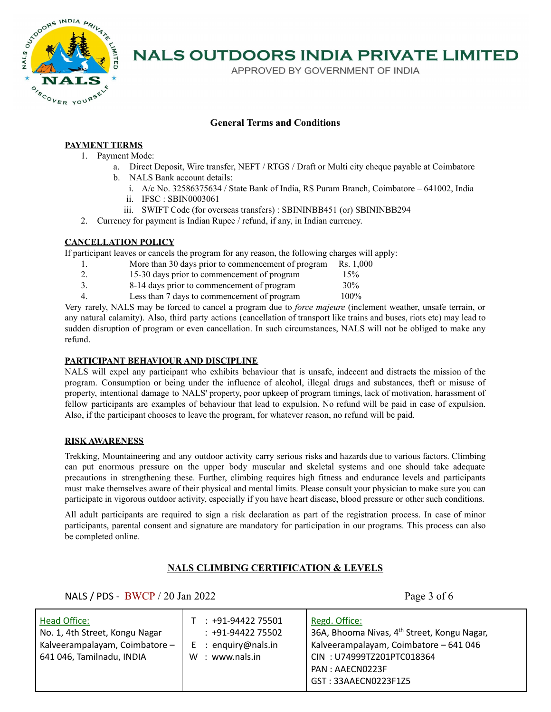

APPROVED BY GOVERNMENT OF INDIA

#### **General Terms and Conditions**

#### **PAYMENT TERMS**

- 1. Payment Mode:
	- a. Direct Deposit, Wire transfer, NEFT / RTGS / Draft or Multi city cheque payable at Coimbatore b. NALS Bank account details:
		- i. A/c No. 32586375634 / State Bank of India, RS Puram Branch, Coimbatore 641002, India
		- ii. IFSC : SBIN0003061
		- iii. SWIFT Code (for overseas transfers) : SBININBB451 (or) SBININBB294
- 2. Currency for payment is Indian Rupee / refund, if any, in Indian currency.

#### **CANCELLATION POLICY**

If participant leaves or cancels the program for any reason, the following charges will apply:

- 1. More than 30 days prior to commencement of program Rs. 1,000
- 2. 15-30 days prior to commencement of program 15%
- 3. 8-14 days prior to commencement of program 30%
- 4. Less than 7 days to commencement of program 100%

Very rarely, NALS may be forced to cancel a program due to *force majeure* (inclement weather, unsafe terrain, or any natural calamity). Also, third party actions (cancellation of transport like trains and buses, riots etc) may lead to sudden disruption of program or even cancellation. In such circumstances, NALS will not be obliged to make any refund.

#### **PARTICIPANT BEHAVIOUR AND DISCIPLINE**

NALS will expel any participant who exhibits behaviour that is unsafe, indecent and distracts the mission of the program. Consumption or being under the influence of alcohol, illegal drugs and substances, theft or misuse of property, intentional damage to NALS' property, poor upkeep of program timings, lack of motivation, harassment of fellow participants are examples of behaviour that lead to expulsion. No refund will be paid in case of expulsion. Also, if the participant chooses to leave the program, for whatever reason, no refund will be paid.

#### **RISK AWARENESS**

Trekking, Mountaineering and any outdoor activity carry serious risks and hazards due to various factors. Climbing can put enormous pressure on the upper body muscular and skeletal systems and one should take adequate precautions in strengthening these. Further, climbing requires high fitness and endurance levels and participants must make themselves aware of their physical and mental limits. Please consult your physician to make sure you can participate in vigorous outdoor activity, especially if you have heart disease, blood pressure or other such conditions.

All adult participants are required to sign a risk declaration as part of the registration process. In case of minor participants, parental consent and signature are mandatory for participation in our programs. This process can also be completed online.

#### **NALS CLIMBING CERTIFICATION & LEVELS**

NALS / PDS - BWCP / 20 Jan 2022 Page 3 of 6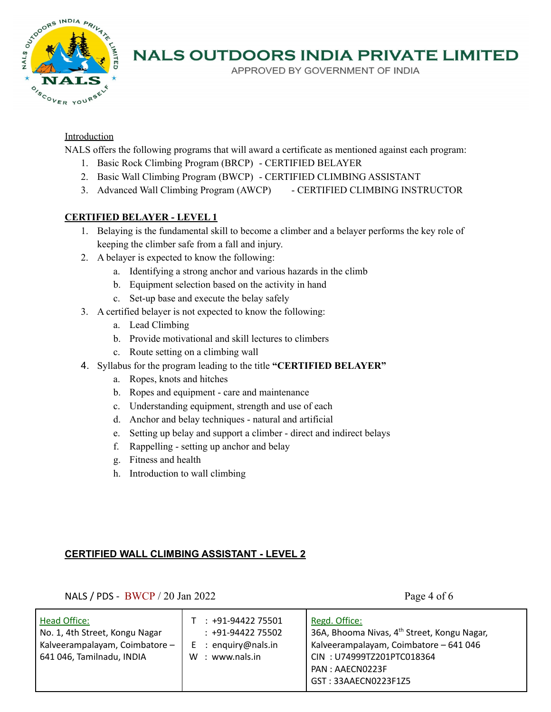

APPROVED BY GOVERNMENT OF INDIA

### Introduction

NALS offers the following programs that will award a certificate as mentioned against each program:

- 1. Basic Rock Climbing Program (BRCP) CERTIFIED BELAYER
- 2. Basic Wall Climbing Program (BWCP) CERTIFIED CLIMBING ASSISTANT
- 3. Advanced Wall Climbing Program (AWCP) CERTIFIED CLIMBING INSTRUCTOR

## **CERTIFIED BELAYER - LEVEL 1**

- 1. Belaying is the fundamental skill to become a climber and a belayer performs the key role of keeping the climber safe from a fall and injury.
- 2. A belayer is expected to know the following:
	- a. Identifying a strong anchor and various hazards in the climb
	- b. Equipment selection based on the activity in hand
	- c. Set-up base and execute the belay safely
- 3. A certified belayer is not expected to know the following:
	- a. Lead Climbing
	- b. Provide motivational and skill lectures to climbers
	- c. Route setting on a climbing wall
- 4. Syllabus for the program leading to the title **"CERTIFIED BELAYER"**
	- a. Ropes, knots and hitches
	- b. Ropes and equipment care and maintenance
	- c. Understanding equipment, strength and use of each
	- d. Anchor and belay techniques natural and artificial
	- e. Setting up belay and support a climber direct and indirect belays
	- f. Rappelling setting up anchor and belay
	- g. Fitness and health
	- h. Introduction to wall climbing

## **CERTIFIED WALL CLIMBING ASSISTANT - LEVEL 2**

NALS  $/$  PDS - BWCP  $/$  20 Jan 2022 Page 4 of 6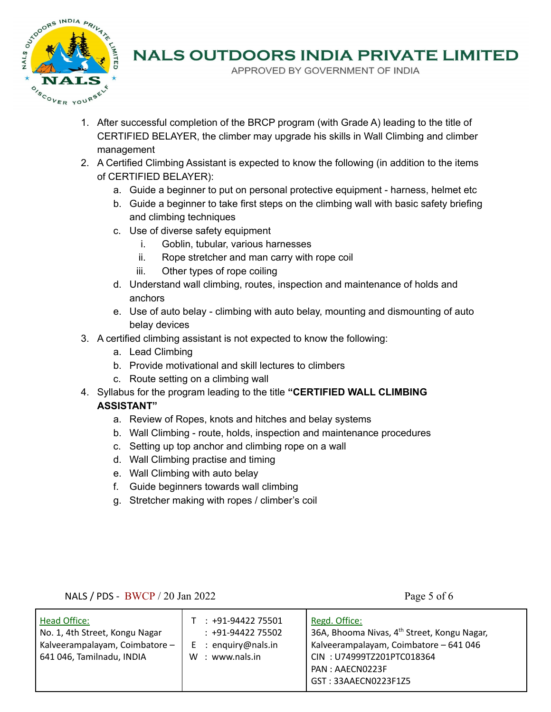

APPROVED BY GOVERNMENT OF INDIA

- 1. After successful completion of the BRCP program (with Grade A) leading to the title of CERTIFIED BELAYER, the climber may upgrade his skills in Wall Climbing and climber management
- 2. A Certified Climbing Assistant is expected to know the following (in addition to the items of CERTIFIED BELAYER):
	- a. Guide a beginner to put on personal protective equipment harness, helmet etc
	- b. Guide a beginner to take first steps on the climbing wall with basic safety briefing and climbing techniques
	- c. Use of diverse safety equipment
		- i. Goblin, tubular, various harnesses
		- ii. Rope stretcher and man carry with rope coil
		- iii. Other types of rope coiling
	- d. Understand wall climbing, routes, inspection and maintenance of holds and anchors
	- e. Use of auto belay climbing with auto belay, mounting and dismounting of auto belay devices
- 3. A certified climbing assistant is not expected to know the following:
	- a. Lead Climbing
	- b. Provide motivational and skill lectures to climbers
	- c. Route setting on a climbing wall
- 4. Syllabus for the program leading to the title **"CERTIFIED WALL CLIMBING ASSISTANT"**
	- a. Review of Ropes, knots and hitches and belay systems
	- b. Wall Climbing route, holds, inspection and maintenance procedures
	- c. Setting up top anchor and climbing rope on a wall
	- d. Wall Climbing practise and timing
	- e. Wall Climbing with auto belay
	- f. Guide beginners towards wall climbing
	- g. Stretcher making with ropes / climber's coil

## NALS / PDS - BWCP / 20 Jan 2022 Page 5 of 6